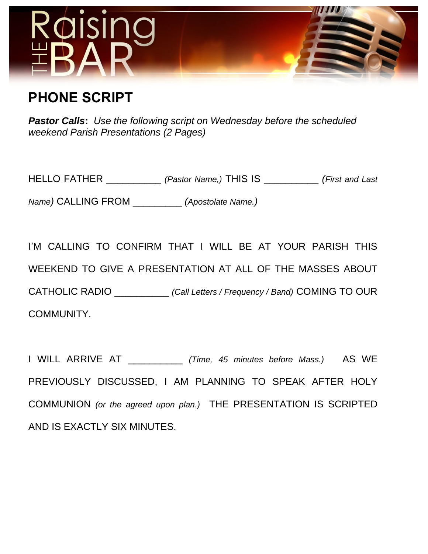

## **PHONE SCRIPT**

*Pastor Calls***:** *Use the following script on Wednesday before the scheduled weekend Parish Presentations (2 Pages)*

HELLO FATHER \_\_\_\_\_\_\_\_\_\_ *(Pastor Name,)* THIS IS \_\_\_\_\_\_\_\_\_\_ *(First and Last* 

*Name)* CALLING FROM \_\_\_\_\_\_\_\_\_ *(Apostolate Name.)*

I'M CALLING TO CONFIRM THAT I WILL BE AT YOUR PARISH THIS WEEKEND TO GIVE A PRESENTATION AT ALL OF THE MASSES ABOUT CATHOLIC RADIO \_\_\_\_\_\_\_\_\_\_ *(Call Letters / Frequency / Band)* COMING TO OUR COMMUNITY.

I WILL ARRIVE AT \_\_\_\_\_\_\_\_\_\_ *(Time, 45 minutes before Mass.)* AS WE PREVIOUSLY DISCUSSED, I AM PLANNING TO SPEAK AFTER HOLY COMMUNION *(or the agreed upon plan.)* THE PRESENTATION IS SCRIPTED AND IS EXACTLY SIX MINUTES.